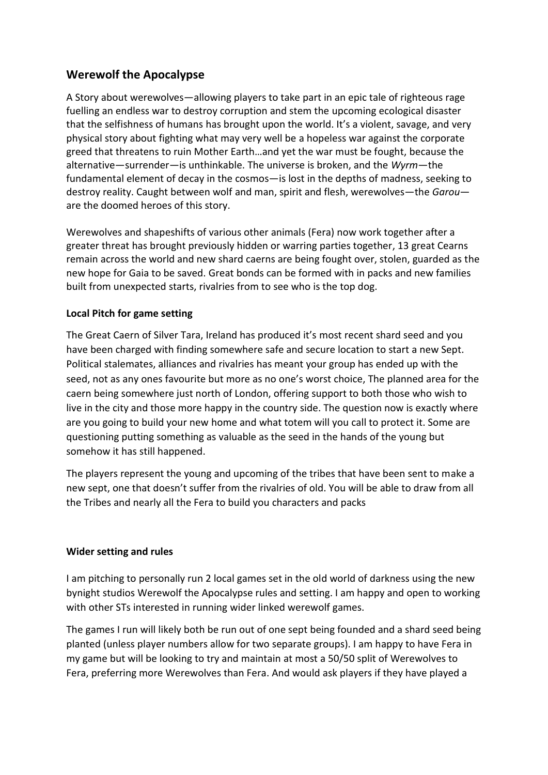## **Werewolf the Apocalypse**

A Story about werewolves—allowing players to take part in an epic tale of righteous rage fuelling an endless war to destroy corruption and stem the upcoming ecological disaster that the selfishness of humans has brought upon the world. It's a violent, savage, and very physical story about fighting what may very well be a hopeless war against the corporate greed that threatens to ruin Mother Earth…and yet the war must be fought, because the alternative—surrender—is unthinkable. The universe is broken, and the *Wyrm*—the fundamental element of decay in the cosmos—is lost in the depths of madness, seeking to destroy reality. Caught between wolf and man, spirit and flesh, werewolves—the *Garou* are the doomed heroes of this story.

Werewolves and shapeshifts of various other animals (Fera) now work together after a greater threat has brought previously hidden or warring parties together, 13 great Cearns remain across the world and new shard caerns are being fought over, stolen, guarded as the new hope for Gaia to be saved. Great bonds can be formed with in packs and new families built from unexpected starts, rivalries from to see who is the top dog.

## **Local Pitch for game setting**

The Great Caern of Silver Tara, Ireland has produced it's most recent shard seed and you have been charged with finding somewhere safe and secure location to start a new Sept. Political stalemates, alliances and rivalries has meant your group has ended up with the seed, not as any ones favourite but more as no one's worst choice, The planned area for the caern being somewhere just north of London, offering support to both those who wish to live in the city and those more happy in the country side. The question now is exactly where are you going to build your new home and what totem will you call to protect it. Some are questioning putting something as valuable as the seed in the hands of the young but somehow it has still happened.

The players represent the young and upcoming of the tribes that have been sent to make a new sept, one that doesn't suffer from the rivalries of old. You will be able to draw from all the Tribes and nearly all the Fera to build you characters and packs

## **Wider setting and rules**

I am pitching to personally run 2 local games set in the old world of darkness using the new bynight studios Werewolf the Apocalypse rules and setting. I am happy and open to working with other STs interested in running wider linked werewolf games.

The games I run will likely both be run out of one sept being founded and a shard seed being planted (unless player numbers allow for two separate groups). I am happy to have Fera in my game but will be looking to try and maintain at most a 50/50 split of Werewolves to Fera, preferring more Werewolves than Fera. And would ask players if they have played a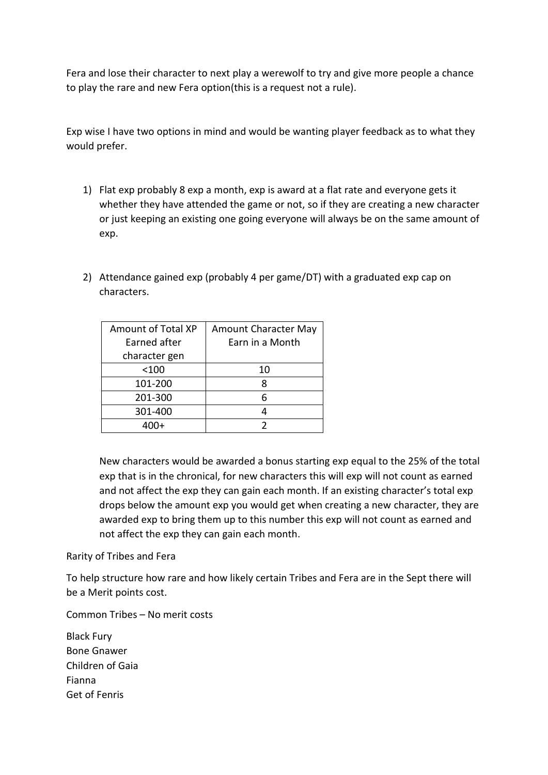Fera and lose their character to next play a werewolf to try and give more people a chance to play the rare and new Fera option(this is a request not a rule).

Exp wise I have two options in mind and would be wanting player feedback as to what they would prefer.

- 1) Flat exp probably 8 exp a month, exp is award at a flat rate and everyone gets it whether they have attended the game or not, so if they are creating a new character or just keeping an existing one going everyone will always be on the same amount of exp.
- 2) Attendance gained exp (probably 4 per game/DT) with a graduated exp cap on characters.

| <b>Amount of Total XP</b> | <b>Amount Character May</b> |
|---------------------------|-----------------------------|
| Earned after              | Earn in a Month             |
| character gen             |                             |
| $<$ 100                   | 10                          |
| 101-200                   | 8                           |
| 201-300                   | 6                           |
| 301-400                   |                             |
|                           |                             |

New characters would be awarded a bonus starting exp equal to the 25% of the total exp that is in the chronical, for new characters this will exp will not count as earned and not affect the exp they can gain each month. If an existing character's total exp drops below the amount exp you would get when creating a new character, they are awarded exp to bring them up to this number this exp will not count as earned and not affect the exp they can gain each month.

Rarity of Tribes and Fera

To help structure how rare and how likely certain Tribes and Fera are in the Sept there will be a Merit points cost.

Common Tribes – No merit costs

Black Fury Bone Gnawer Children of Gaia Fianna Get of Fenris